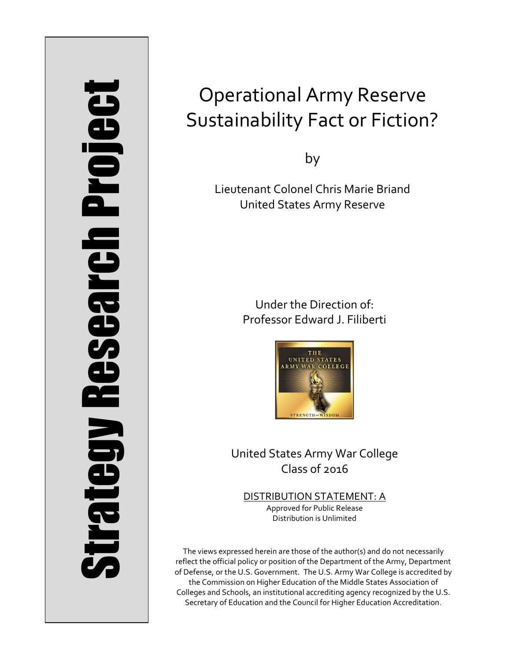# Strategy Research Project **Strategy Research Project**

# Operational Army Reserve Sustainability Fact or Fiction?

by

Lieutenant Colonel Chris Marie Briand United States Army Reserve

> Under the Direction of: Professor Edward J. Filiberti



United States Army War College Class of 2016

DISTRIBUTION STATEMENT: A Approved for Public Release Distribution is Unlimited

The views expressed herein are those of the author(s) and do not necessarily reflect the official policy or position of the Department of the Army, Department of Defense, or the U.S. Government. The U.S. Army War College is accredited by the Commission on Higher Education of the Middle States Association of Colleges and Schools, an institutional accrediting agency recognized by the U.S. Secretary of Education and the Council for Higher Education Accreditation.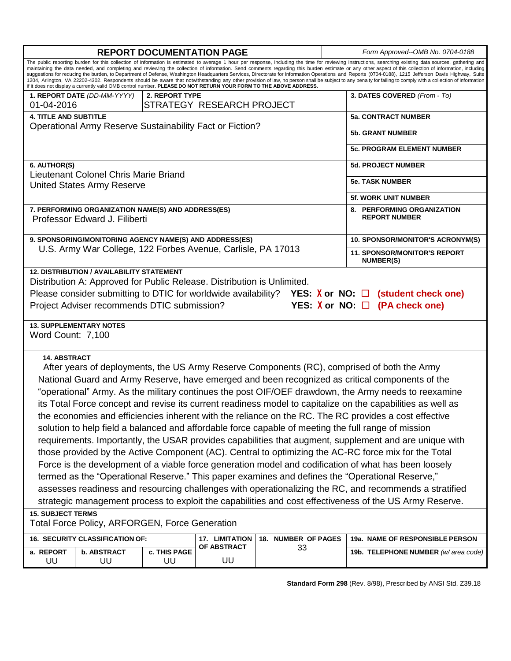| The public reporting burden for this collection of information is estimated to average 1 hour per response, including the time for reviewing instructions, searching existing data sources, gathering and<br>maintaining the data needed, and completing and reviewing the collection of information. Send comments regarding this burden estimate or any other aspect of this collection of information, including<br>suggestions for reducing the burden, to Department of Defense, Washington Headquarters Services, Directorate for Information Operations and Reports (0704-0188), 1215 Jefferson Davis Highway, Suite<br>1204, Arlington, VA 22202-4302. Respondents should be aware that notwithstanding any other provision of law, no person shall be subject to any penalty for failing to comply with a collection of information<br>if it does not display a currently valid OMB control number. PLEASE DO NOT RETURN YOUR FORM TO THE ABOVE ADDRESS.<br>3. DATES COVERED (From - To)<br>1. REPORT DATE (DD-MM-YYYY)<br>2. REPORT TYPE<br>STRATEGY RESEARCH PROJECT<br>01-04-2016<br><b>4. TITLE AND SUBTITLE</b><br><b>5a. CONTRACT NUMBER</b><br>Operational Army Reserve Sustainability Fact or Fiction?<br><b>5b. GRANT NUMBER</b><br><b>5c. PROGRAM ELEMENT NUMBER</b><br>6. AUTHOR(S)<br><b>5d. PROJECT NUMBER</b><br>Lieutenant Colonel Chris Marie Briand<br><b>5e. TASK NUMBER</b><br><b>United States Army Reserve</b><br><b>5f. WORK UNIT NUMBER</b><br>7. PERFORMING ORGANIZATION NAME(S) AND ADDRESS(ES)<br>8. PERFORMING ORGANIZATION<br><b>REPORT NUMBER</b><br>Professor Edward J. Filiberti<br>9. SPONSORING/MONITORING AGENCY NAME(S) AND ADDRESS(ES)<br>10. SPONSOR/MONITOR'S ACRONYM(S)<br>U.S. Army War College, 122 Forbes Avenue, Carlisle, PA 17013<br><b>11. SPONSOR/MONITOR'S REPORT</b><br><b>NUMBER(S)</b><br><b>12. DISTRIBUTION / AVAILABILITY STATEMENT</b><br>Distribution A: Approved for Public Release. Distribution is Unlimited.<br>Please consider submitting to DTIC for worldwide availability? YES: $X$ or NO: $\Box$ (student check one)<br>Project Adviser recommends DTIC submission?<br>YES: $X$ or NO: $\Box$ (PA check one)<br><b>13. SUPPLEMENTARY NOTES</b><br>Word Count: 7,100<br><b>14. ABSTRACT</b> |  |  |  |  |  |
|----------------------------------------------------------------------------------------------------------------------------------------------------------------------------------------------------------------------------------------------------------------------------------------------------------------------------------------------------------------------------------------------------------------------------------------------------------------------------------------------------------------------------------------------------------------------------------------------------------------------------------------------------------------------------------------------------------------------------------------------------------------------------------------------------------------------------------------------------------------------------------------------------------------------------------------------------------------------------------------------------------------------------------------------------------------------------------------------------------------------------------------------------------------------------------------------------------------------------------------------------------------------------------------------------------------------------------------------------------------------------------------------------------------------------------------------------------------------------------------------------------------------------------------------------------------------------------------------------------------------------------------------------------------------------------------------------------------------------------------------------------------------------------------------------------------------------------------------------------------------------------------------------------------------------------------------------------------------------------------------------------------------------------------------------------------------------------------------------------------------------------------------------------------------------------------------------------------------------------------------------------------------|--|--|--|--|--|
|                                                                                                                                                                                                                                                                                                                                                                                                                                                                                                                                                                                                                                                                                                                                                                                                                                                                                                                                                                                                                                                                                                                                                                                                                                                                                                                                                                                                                                                                                                                                                                                                                                                                                                                                                                                                                                                                                                                                                                                                                                                                                                                                                                                                                                                                      |  |  |  |  |  |
|                                                                                                                                                                                                                                                                                                                                                                                                                                                                                                                                                                                                                                                                                                                                                                                                                                                                                                                                                                                                                                                                                                                                                                                                                                                                                                                                                                                                                                                                                                                                                                                                                                                                                                                                                                                                                                                                                                                                                                                                                                                                                                                                                                                                                                                                      |  |  |  |  |  |
|                                                                                                                                                                                                                                                                                                                                                                                                                                                                                                                                                                                                                                                                                                                                                                                                                                                                                                                                                                                                                                                                                                                                                                                                                                                                                                                                                                                                                                                                                                                                                                                                                                                                                                                                                                                                                                                                                                                                                                                                                                                                                                                                                                                                                                                                      |  |  |  |  |  |
|                                                                                                                                                                                                                                                                                                                                                                                                                                                                                                                                                                                                                                                                                                                                                                                                                                                                                                                                                                                                                                                                                                                                                                                                                                                                                                                                                                                                                                                                                                                                                                                                                                                                                                                                                                                                                                                                                                                                                                                                                                                                                                                                                                                                                                                                      |  |  |  |  |  |
|                                                                                                                                                                                                                                                                                                                                                                                                                                                                                                                                                                                                                                                                                                                                                                                                                                                                                                                                                                                                                                                                                                                                                                                                                                                                                                                                                                                                                                                                                                                                                                                                                                                                                                                                                                                                                                                                                                                                                                                                                                                                                                                                                                                                                                                                      |  |  |  |  |  |
|                                                                                                                                                                                                                                                                                                                                                                                                                                                                                                                                                                                                                                                                                                                                                                                                                                                                                                                                                                                                                                                                                                                                                                                                                                                                                                                                                                                                                                                                                                                                                                                                                                                                                                                                                                                                                                                                                                                                                                                                                                                                                                                                                                                                                                                                      |  |  |  |  |  |
|                                                                                                                                                                                                                                                                                                                                                                                                                                                                                                                                                                                                                                                                                                                                                                                                                                                                                                                                                                                                                                                                                                                                                                                                                                                                                                                                                                                                                                                                                                                                                                                                                                                                                                                                                                                                                                                                                                                                                                                                                                                                                                                                                                                                                                                                      |  |  |  |  |  |
|                                                                                                                                                                                                                                                                                                                                                                                                                                                                                                                                                                                                                                                                                                                                                                                                                                                                                                                                                                                                                                                                                                                                                                                                                                                                                                                                                                                                                                                                                                                                                                                                                                                                                                                                                                                                                                                                                                                                                                                                                                                                                                                                                                                                                                                                      |  |  |  |  |  |
|                                                                                                                                                                                                                                                                                                                                                                                                                                                                                                                                                                                                                                                                                                                                                                                                                                                                                                                                                                                                                                                                                                                                                                                                                                                                                                                                                                                                                                                                                                                                                                                                                                                                                                                                                                                                                                                                                                                                                                                                                                                                                                                                                                                                                                                                      |  |  |  |  |  |
|                                                                                                                                                                                                                                                                                                                                                                                                                                                                                                                                                                                                                                                                                                                                                                                                                                                                                                                                                                                                                                                                                                                                                                                                                                                                                                                                                                                                                                                                                                                                                                                                                                                                                                                                                                                                                                                                                                                                                                                                                                                                                                                                                                                                                                                                      |  |  |  |  |  |
|                                                                                                                                                                                                                                                                                                                                                                                                                                                                                                                                                                                                                                                                                                                                                                                                                                                                                                                                                                                                                                                                                                                                                                                                                                                                                                                                                                                                                                                                                                                                                                                                                                                                                                                                                                                                                                                                                                                                                                                                                                                                                                                                                                                                                                                                      |  |  |  |  |  |
|                                                                                                                                                                                                                                                                                                                                                                                                                                                                                                                                                                                                                                                                                                                                                                                                                                                                                                                                                                                                                                                                                                                                                                                                                                                                                                                                                                                                                                                                                                                                                                                                                                                                                                                                                                                                                                                                                                                                                                                                                                                                                                                                                                                                                                                                      |  |  |  |  |  |
|                                                                                                                                                                                                                                                                                                                                                                                                                                                                                                                                                                                                                                                                                                                                                                                                                                                                                                                                                                                                                                                                                                                                                                                                                                                                                                                                                                                                                                                                                                                                                                                                                                                                                                                                                                                                                                                                                                                                                                                                                                                                                                                                                                                                                                                                      |  |  |  |  |  |
|                                                                                                                                                                                                                                                                                                                                                                                                                                                                                                                                                                                                                                                                                                                                                                                                                                                                                                                                                                                                                                                                                                                                                                                                                                                                                                                                                                                                                                                                                                                                                                                                                                                                                                                                                                                                                                                                                                                                                                                                                                                                                                                                                                                                                                                                      |  |  |  |  |  |
| After years of deployments, the US Army Reserve Components (RC), comprised of both the Army<br>National Guard and Army Reserve, have emerged and been recognized as critical components of the<br>"operational" Army. As the military continues the post OIF/OEF drawdown, the Army needs to reexamine<br>its Total Force concept and revise its current readiness model to capitalize on the capabilities as well as<br>the economies and efficiencies inherent with the reliance on the RC. The RC provides a cost effective<br>solution to help field a balanced and affordable force capable of meeting the full range of mission<br>requirements. Importantly, the USAR provides capabilities that augment, supplement and are unique with<br>those provided by the Active Component (AC). Central to optimizing the AC-RC force mix for the Total<br>Force is the development of a viable force generation model and codification of what has been loosely<br>termed as the "Operational Reserve." This paper examines and defines the "Operational Reserve,"<br>assesses readiness and resourcing challenges with operationalizing the RC, and recommends a stratified<br>strategic management process to exploit the capabilities and cost effectiveness of the US Army Reserve.<br><b>15. SUBJECT TERMS</b>                                                                                                                                                                                                                                                                                                                                                                                                                                                                                                                                                                                                                                                                                                                                                                                                                                                                                                                                                 |  |  |  |  |  |
| <b>Total Force Policy, ARFORGEN, Force Generation</b>                                                                                                                                                                                                                                                                                                                                                                                                                                                                                                                                                                                                                                                                                                                                                                                                                                                                                                                                                                                                                                                                                                                                                                                                                                                                                                                                                                                                                                                                                                                                                                                                                                                                                                                                                                                                                                                                                                                                                                                                                                                                                                                                                                                                                |  |  |  |  |  |
| 16. SECURITY CLASSIFICATION OF:<br>18. NUMBER OF PAGES<br>19a. NAME OF RESPONSIBLE PERSON<br><b>17. LIMITATION</b><br><b>OF ABSTRACT</b><br>33                                                                                                                                                                                                                                                                                                                                                                                                                                                                                                                                                                                                                                                                                                                                                                                                                                                                                                                                                                                                                                                                                                                                                                                                                                                                                                                                                                                                                                                                                                                                                                                                                                                                                                                                                                                                                                                                                                                                                                                                                                                                                                                       |  |  |  |  |  |
| <b>b. ABSTRACT</b><br>c. THIS PAGE<br>a. REPORT<br>19b. TELEPHONE NUMBER (w/area code)<br>UU<br>UU<br>UU<br>UU                                                                                                                                                                                                                                                                                                                                                                                                                                                                                                                                                                                                                                                                                                                                                                                                                                                                                                                                                                                                                                                                                                                                                                                                                                                                                                                                                                                                                                                                                                                                                                                                                                                                                                                                                                                                                                                                                                                                                                                                                                                                                                                                                       |  |  |  |  |  |

**Standard Form 298** (Rev. 8/98), Prescribed by ANSI Std. Z39.18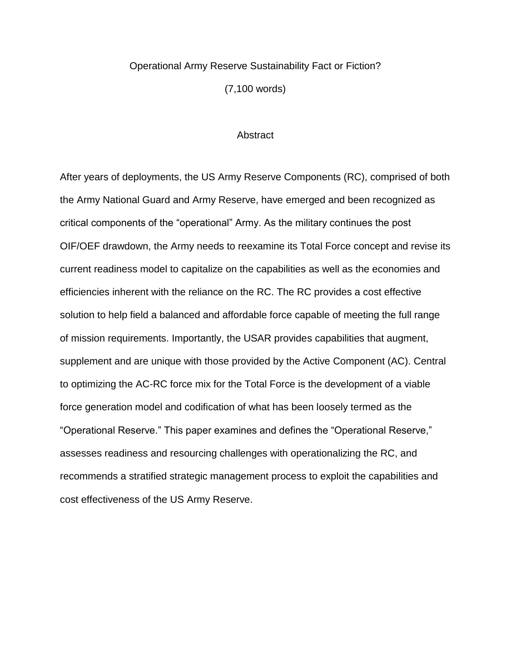# Operational Army Reserve Sustainability Fact or Fiction?

(7,100 words)

### **Abstract**

After years of deployments, the US Army Reserve Components (RC), comprised of both the Army National Guard and Army Reserve, have emerged and been recognized as critical components of the "operational" Army. As the military continues the post OIF/OEF drawdown, the Army needs to reexamine its Total Force concept and revise its current readiness model to capitalize on the capabilities as well as the economies and efficiencies inherent with the reliance on the RC. The RC provides a cost effective solution to help field a balanced and affordable force capable of meeting the full range of mission requirements. Importantly, the USAR provides capabilities that augment, supplement and are unique with those provided by the Active Component (AC). Central to optimizing the AC-RC force mix for the Total Force is the development of a viable force generation model and codification of what has been loosely termed as the "Operational Reserve." This paper examines and defines the "Operational Reserve," assesses readiness and resourcing challenges with operationalizing the RC, and recommends a stratified strategic management process to exploit the capabilities and cost effectiveness of the US Army Reserve.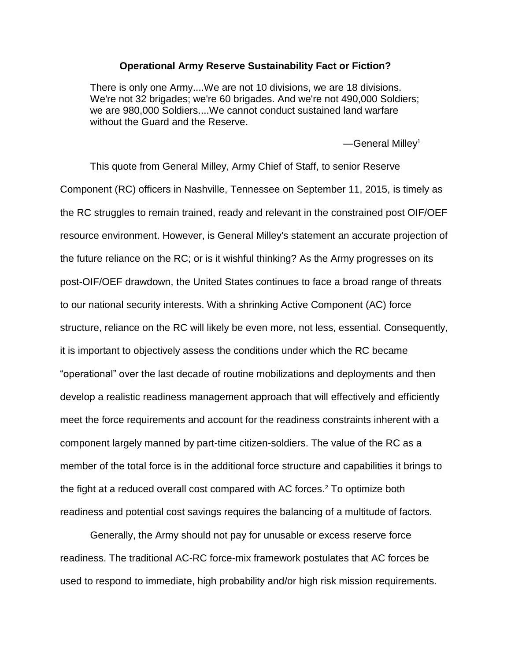# **Operational Army Reserve Sustainability Fact or Fiction?**

There is only one Army....We are not 10 divisions, we are 18 divisions. We're not 32 brigades; we're 60 brigades. And we're not 490,000 Soldiers; we are 980,000 Soldiers....We cannot conduct sustained land warfare without the Guard and the Reserve.

—General Milley<sup>1</sup>

This quote from General Milley, Army Chief of Staff, to senior Reserve Component (RC) officers in Nashville, Tennessee on September 11, 2015, is timely as the RC struggles to remain trained, ready and relevant in the constrained post OIF/OEF resource environment. However, is General Milley's statement an accurate projection of the future reliance on the RC; or is it wishful thinking? As the Army progresses on its post-OIF/OEF drawdown, the United States continues to face a broad range of threats to our national security interests. With a shrinking Active Component (AC) force structure, reliance on the RC will likely be even more, not less, essential. Consequently, it is important to objectively assess the conditions under which the RC became "operational" over the last decade of routine mobilizations and deployments and then develop a realistic readiness management approach that will effectively and efficiently meet the force requirements and account for the readiness constraints inherent with a component largely manned by part-time citizen-soldiers. The value of the RC as a member of the total force is in the additional force structure and capabilities it brings to the fight at a reduced overall cost compared with AC forces. <sup>2</sup> To optimize both readiness and potential cost savings requires the balancing of a multitude of factors.

Generally, the Army should not pay for unusable or excess reserve force readiness. The traditional AC-RC force-mix framework postulates that AC forces be used to respond to immediate, high probability and/or high risk mission requirements.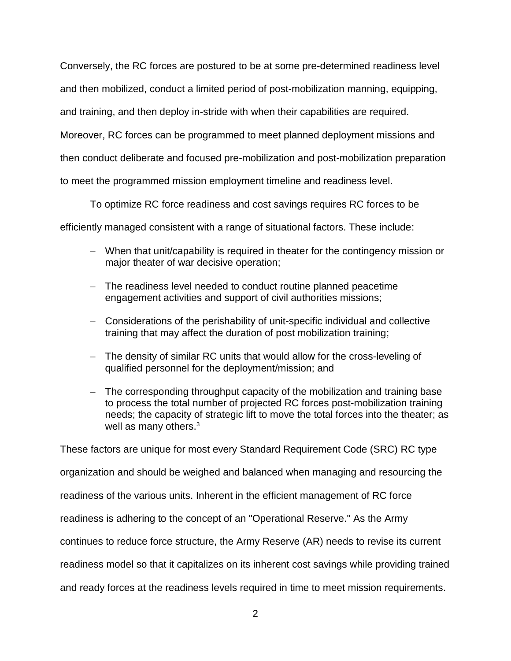Conversely, the RC forces are postured to be at some pre-determined readiness level and then mobilized, conduct a limited period of post-mobilization manning, equipping, and training, and then deploy in-stride with when their capabilities are required. Moreover, RC forces can be programmed to meet planned deployment missions and then conduct deliberate and focused pre-mobilization and post-mobilization preparation to meet the programmed mission employment timeline and readiness level.

To optimize RC force readiness and cost savings requires RC forces to be efficiently managed consistent with a range of situational factors. These include:

- When that unit/capability is required in theater for the contingency mission or major theater of war decisive operation;
- The readiness level needed to conduct routine planned peacetime engagement activities and support of civil authorities missions;
- Considerations of the perishability of unit-specific individual and collective training that may affect the duration of post mobilization training;
- The density of similar RC units that would allow for the cross-leveling of qualified personnel for the deployment/mission; and
- The corresponding throughput capacity of the mobilization and training base to process the total number of projected RC forces post-mobilization training needs; the capacity of strategic lift to move the total forces into the theater; as well as many others.<sup>3</sup>

These factors are unique for most every Standard Requirement Code (SRC) RC type organization and should be weighed and balanced when managing and resourcing the

readiness of the various units. Inherent in the efficient management of RC force

readiness is adhering to the concept of an "Operational Reserve." As the Army

continues to reduce force structure, the Army Reserve (AR) needs to revise its current

readiness model so that it capitalizes on its inherent cost savings while providing trained

and ready forces at the readiness levels required in time to meet mission requirements.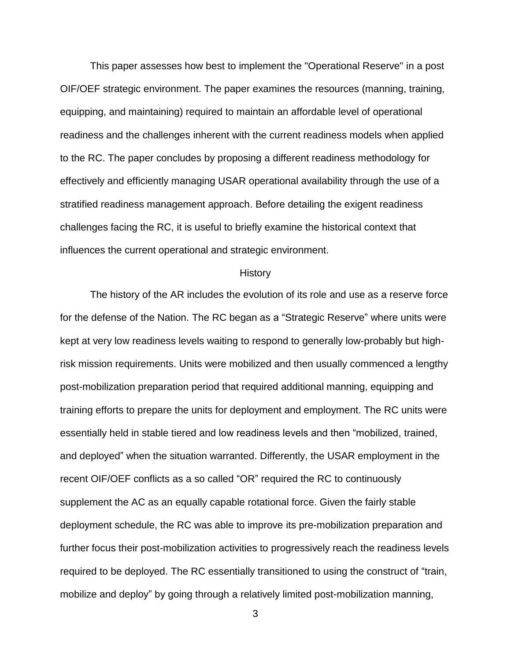This paper assesses how best to implement the "Operational Reserve" in a post OIF/OEF strategic environment. The paper examines the resources (manning, training, equipping, and maintaining) required to maintain an affordable level of operational readiness and the challenges inherent with the current readiness models when applied to the RC. The paper concludes by proposing a different readiness methodology for effectively and efficiently managing USAR operational availability through the use of a stratified readiness management approach. Before detailing the exigent readiness challenges facing the RC, it is useful to briefly examine the historical context that influences the current operational and strategic environment.

### History

The history of the AR includes the evolution of its role and use as a reserve force for the defense of the Nation. The RC began as a "Strategic Reserve" where units were kept at very low readiness levels waiting to respond to generally low-probably but highrisk mission requirements. Units were mobilized and then usually commenced a lengthy post-mobilization preparation period that required additional manning, equipping and training efforts to prepare the units for deployment and employment. The RC units were essentially held in stable tiered and low readiness levels and then "mobilized, trained, and deployed" when the situation warranted. Differently, the USAR employment in the recent OIF/OEF conflicts as a so called "OR" required the RC to continuously supplement the AC as an equally capable rotational force. Given the fairly stable deployment schedule, the RC was able to improve its pre-mobilization preparation and further focus their post-mobilization activities to progressively reach the readiness levels required to be deployed. The RC essentially transitioned to using the construct of "train, mobilize and deploy" by going through a relatively limited post-mobilization manning,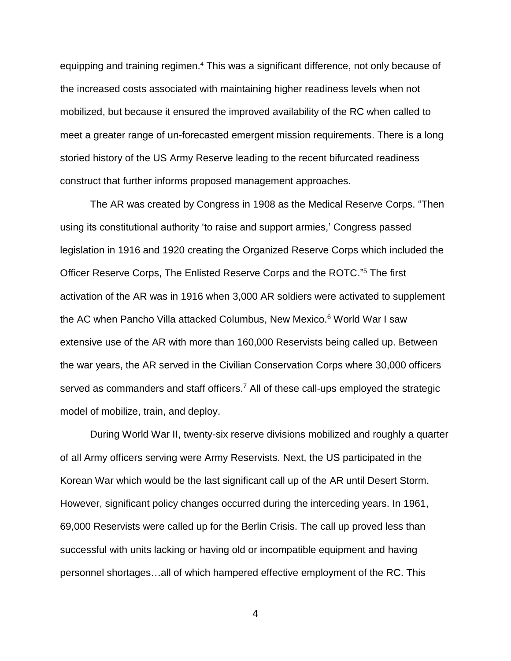equipping and training regimen. <sup>4</sup> This was a significant difference, not only because of the increased costs associated with maintaining higher readiness levels when not mobilized, but because it ensured the improved availability of the RC when called to meet a greater range of un-forecasted emergent mission requirements. There is a long storied history of the US Army Reserve leading to the recent bifurcated readiness construct that further informs proposed management approaches.

The AR was created by Congress in 1908 as the Medical Reserve Corps. "Then using its constitutional authority 'to raise and support armies,' Congress passed legislation in 1916 and 1920 creating the Organized Reserve Corps which included the Officer Reserve Corps, The Enlisted Reserve Corps and the ROTC." <sup>5</sup> The first activation of the AR was in 1916 when 3,000 AR soldiers were activated to supplement the AC when Pancho Villa attacked Columbus, New Mexico.<sup>6</sup> World War I saw extensive use of the AR with more than 160,000 Reservists being called up. Between the war years, the AR served in the Civilian Conservation Corps where 30,000 officers served as commanders and staff officers.<sup>7</sup> All of these call-ups employed the strategic model of mobilize, train, and deploy.

During World War II, twenty-six reserve divisions mobilized and roughly a quarter of all Army officers serving were Army Reservists. Next, the US participated in the Korean War which would be the last significant call up of the AR until Desert Storm. However, significant policy changes occurred during the interceding years. In 1961, 69,000 Reservists were called up for the Berlin Crisis. The call up proved less than successful with units lacking or having old or incompatible equipment and having personnel shortages…all of which hampered effective employment of the RC. This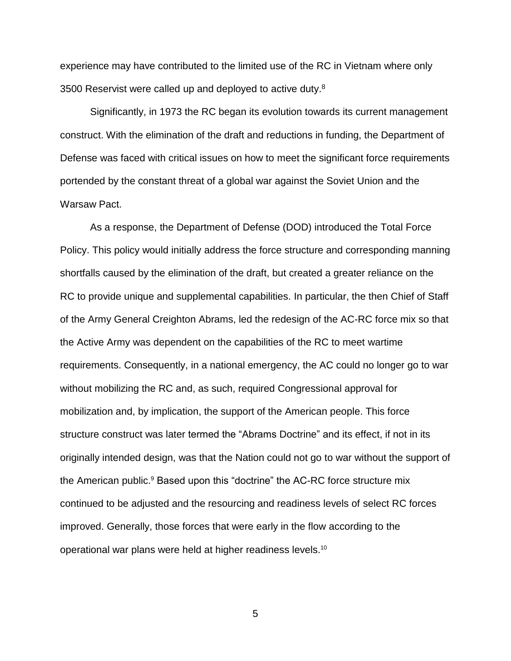experience may have contributed to the limited use of the RC in Vietnam where only 3500 Reservist were called up and deployed to active duty. $8$ 

Significantly, in 1973 the RC began its evolution towards its current management construct. With the elimination of the draft and reductions in funding, the Department of Defense was faced with critical issues on how to meet the significant force requirements portended by the constant threat of a global war against the Soviet Union and the Warsaw Pact.

As a response, the Department of Defense (DOD) introduced the Total Force Policy. This policy would initially address the force structure and corresponding manning shortfalls caused by the elimination of the draft, but created a greater reliance on the RC to provide unique and supplemental capabilities. In particular, the then Chief of Staff of the Army General Creighton Abrams, led the redesign of the AC-RC force mix so that the Active Army was dependent on the capabilities of the RC to meet wartime requirements. Consequently, in a national emergency, the AC could no longer go to war without mobilizing the RC and, as such, required Congressional approval for mobilization and, by implication, the support of the American people. This force structure construct was later termed the "Abrams Doctrine" and its effect, if not in its originally intended design, was that the Nation could not go to war without the support of the American public. <sup>9</sup> Based upon this "doctrine" the AC-RC force structure mix continued to be adjusted and the resourcing and readiness levels of select RC forces improved. Generally, those forces that were early in the flow according to the operational war plans were held at higher readiness levels. 10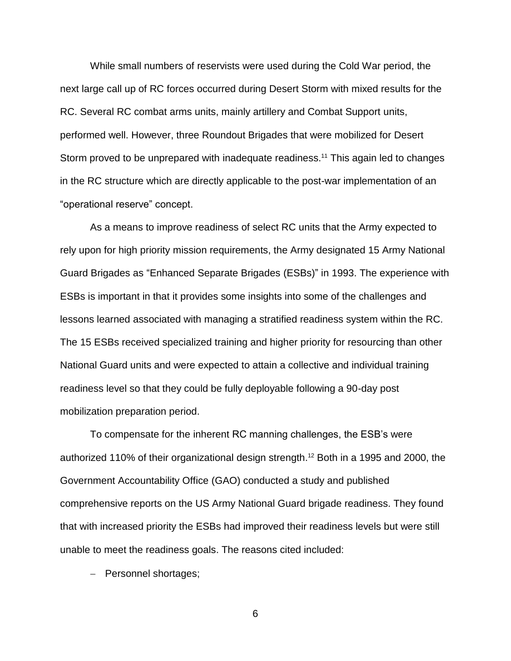While small numbers of reservists were used during the Cold War period, the next large call up of RC forces occurred during Desert Storm with mixed results for the RC. Several RC combat arms units, mainly artillery and Combat Support units, performed well. However, three Roundout Brigades that were mobilized for Desert Storm proved to be unprepared with inadequate readiness.<sup>11</sup> This again led to changes in the RC structure which are directly applicable to the post-war implementation of an "operational reserve" concept.

As a means to improve readiness of select RC units that the Army expected to rely upon for high priority mission requirements, the Army designated 15 Army National Guard Brigades as "Enhanced Separate Brigades (ESBs)" in 1993. The experience with ESBs is important in that it provides some insights into some of the challenges and lessons learned associated with managing a stratified readiness system within the RC. The 15 ESBs received specialized training and higher priority for resourcing than other National Guard units and were expected to attain a collective and individual training readiness level so that they could be fully deployable following a 90-day post mobilization preparation period.

To compensate for the inherent RC manning challenges, the ESB's were authorized 110% of their organizational design strength. <sup>12</sup> Both in a 1995 and 2000, the Government Accountability Office (GAO) conducted a study and published comprehensive reports on the US Army National Guard brigade readiness. They found that with increased priority the ESBs had improved their readiness levels but were still unable to meet the readiness goals. The reasons cited included:

- Personnel shortages;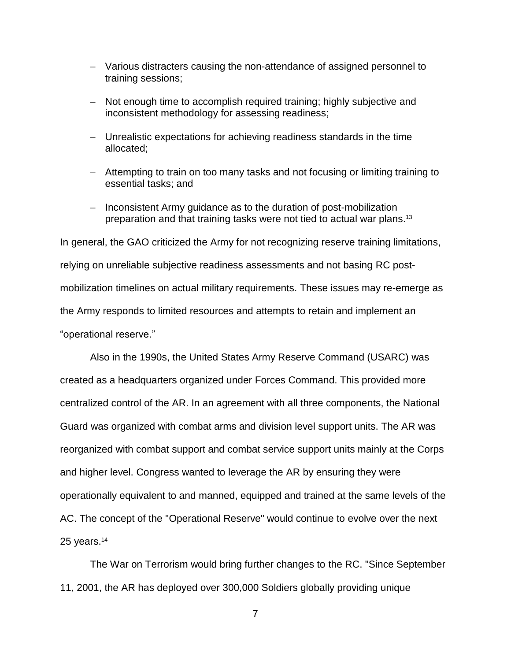- Various distracters causing the non-attendance of assigned personnel to training sessions;
- Not enough time to accomplish required training; highly subjective and inconsistent methodology for assessing readiness;
- Unrealistic expectations for achieving readiness standards in the time allocated;
- Attempting to train on too many tasks and not focusing or limiting training to essential tasks; and
- Inconsistent Army guidance as to the duration of post-mobilization preparation and that training tasks were not tied to actual war plans.<sup>13</sup>

In general, the GAO criticized the Army for not recognizing reserve training limitations, relying on unreliable subjective readiness assessments and not basing RC postmobilization timelines on actual military requirements. These issues may re-emerge as the Army responds to limited resources and attempts to retain and implement an "operational reserve."

Also in the 1990s, the United States Army Reserve Command (USARC) was created as a headquarters organized under Forces Command. This provided more centralized control of the AR. In an agreement with all three components, the National Guard was organized with combat arms and division level support units. The AR was reorganized with combat support and combat service support units mainly at the Corps and higher level. Congress wanted to leverage the AR by ensuring they were operationally equivalent to and manned, equipped and trained at the same levels of the AC. The concept of the "Operational Reserve" would continue to evolve over the next 25 years.<sup>14</sup>

The War on Terrorism would bring further changes to the RC. "Since September 11, 2001, the AR has deployed over 300,000 Soldiers globally providing unique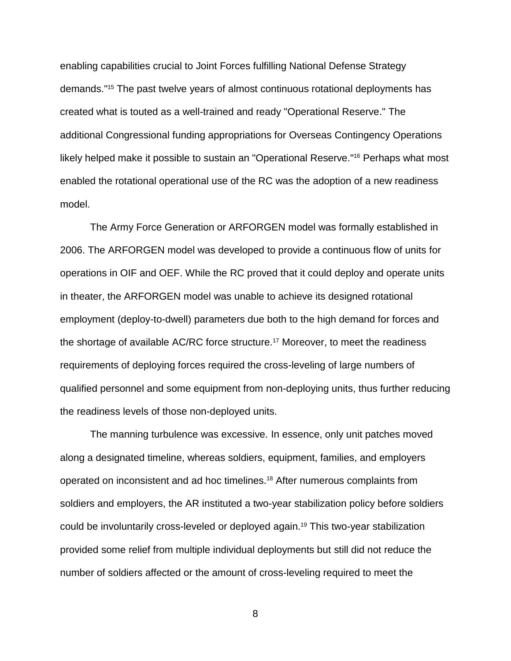enabling capabilities crucial to Joint Forces fulfilling National Defense Strategy demands."<sup>15</sup> The past twelve years of almost continuous rotational deployments has created what is touted as a well-trained and ready "Operational Reserve." The additional Congressional funding appropriations for Overseas Contingency Operations likely helped make it possible to sustain an "Operational Reserve." <sup>16</sup> Perhaps what most enabled the rotational operational use of the RC was the adoption of a new readiness model.

The Army Force Generation or ARFORGEN model was formally established in 2006. The ARFORGEN model was developed to provide a continuous flow of units for operations in OIF and OEF. While the RC proved that it could deploy and operate units in theater, the ARFORGEN model was unable to achieve its designed rotational employment (deploy-to-dwell) parameters due both to the high demand for forces and the shortage of available AC/RC force structure.<sup>17</sup> Moreover, to meet the readiness requirements of deploying forces required the cross-leveling of large numbers of qualified personnel and some equipment from non-deploying units, thus further reducing the readiness levels of those non-deployed units.

The manning turbulence was excessive. In essence, only unit patches moved along a designated timeline, whereas soldiers, equipment, families, and employers operated on inconsistent and ad hoc timelines.<sup>18</sup> After numerous complaints from soldiers and employers, the AR instituted a two-year stabilization policy before soldiers could be involuntarily cross-leveled or deployed again.<sup>19</sup> This two-year stabilization provided some relief from multiple individual deployments but still did not reduce the number of soldiers affected or the amount of cross-leveling required to meet the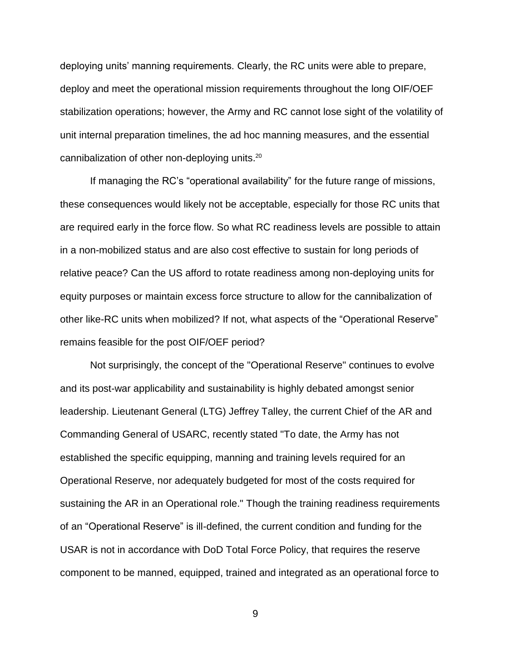deploying units' manning requirements. Clearly, the RC units were able to prepare, deploy and meet the operational mission requirements throughout the long OIF/OEF stabilization operations; however, the Army and RC cannot lose sight of the volatility of unit internal preparation timelines, the ad hoc manning measures, and the essential cannibalization of other non-deploying units.<sup>20</sup>

If managing the RC's "operational availability" for the future range of missions, these consequences would likely not be acceptable, especially for those RC units that are required early in the force flow. So what RC readiness levels are possible to attain in a non-mobilized status and are also cost effective to sustain for long periods of relative peace? Can the US afford to rotate readiness among non-deploying units for equity purposes or maintain excess force structure to allow for the cannibalization of other like-RC units when mobilized? If not, what aspects of the "Operational Reserve" remains feasible for the post OIF/OEF period?

Not surprisingly, the concept of the "Operational Reserve" continues to evolve and its post-war applicability and sustainability is highly debated amongst senior leadership. Lieutenant General (LTG) Jeffrey Talley, the current Chief of the AR and Commanding General of USARC, recently stated "To date, the Army has not established the specific equipping, manning and training levels required for an Operational Reserve, nor adequately budgeted for most of the costs required for sustaining the AR in an Operational role." Though the training readiness requirements of an "Operational Reserve" is ill-defined, the current condition and funding for the USAR is not in accordance with DoD Total Force Policy, that requires the reserve component to be manned, equipped, trained and integrated as an operational force to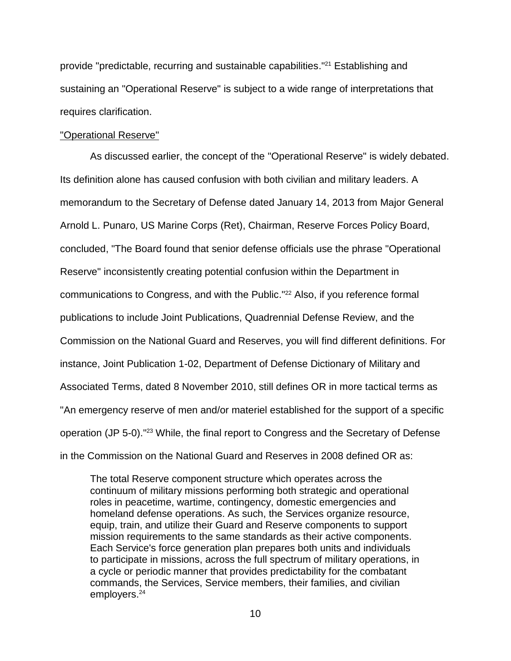provide "predictable, recurring and sustainable capabilities."<sup>21</sup> Establishing and sustaining an "Operational Reserve" is subject to a wide range of interpretations that requires clarification.

### "Operational Reserve"

As discussed earlier, the concept of the "Operational Reserve" is widely debated. Its definition alone has caused confusion with both civilian and military leaders. A memorandum to the Secretary of Defense dated January 14, 2013 from Major General Arnold L. Punaro, US Marine Corps (Ret), Chairman, Reserve Forces Policy Board, concluded, "The Board found that senior defense officials use the phrase "Operational Reserve" inconsistently creating potential confusion within the Department in communications to Congress, and with the Public." <sup>22</sup> Also, if you reference formal publications to include Joint Publications, Quadrennial Defense Review, and the Commission on the National Guard and Reserves, you will find different definitions. For instance, Joint Publication 1-02, Department of Defense Dictionary of Military and Associated Terms, dated 8 November 2010, still defines OR in more tactical terms as "An emergency reserve of men and/or materiel established for the support of a specific operation (JP 5-0)." <sup>23</sup> While, the final report to Congress and the Secretary of Defense in the Commission on the National Guard and Reserves in 2008 defined OR as:

The total Reserve component structure which operates across the continuum of military missions performing both strategic and operational roles in peacetime, wartime, contingency, domestic emergencies and homeland defense operations. As such, the Services organize resource, equip, train, and utilize their Guard and Reserve components to support mission requirements to the same standards as their active components. Each Service's force generation plan prepares both units and individuals to participate in missions, across the full spectrum of military operations, in a cycle or periodic manner that provides predictability for the combatant commands, the Services, Service members, their families, and civilian employers. 24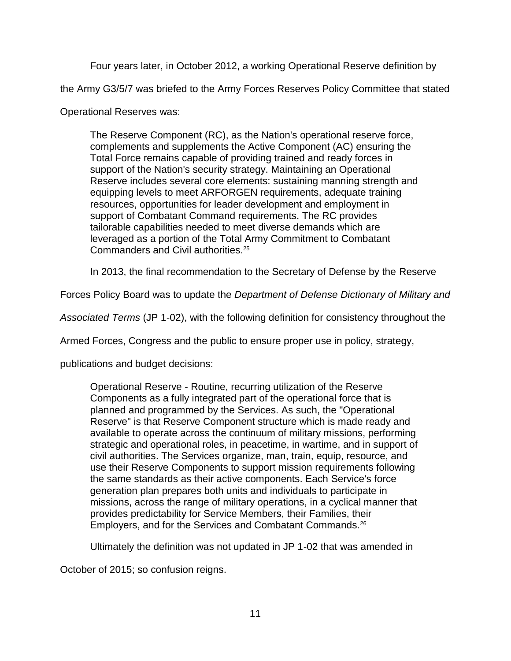Four years later, in October 2012, a working Operational Reserve definition by

the Army G3/5/7 was briefed to the Army Forces Reserves Policy Committee that stated

Operational Reserves was:

The Reserve Component (RC), as the Nation's operational reserve force, complements and supplements the Active Component (AC) ensuring the Total Force remains capable of providing trained and ready forces in support of the Nation's security strategy. Maintaining an Operational Reserve includes several core elements: sustaining manning strength and equipping levels to meet ARFORGEN requirements, adequate training resources, opportunities for leader development and employment in support of Combatant Command requirements. The RC provides tailorable capabilities needed to meet diverse demands which are leveraged as a portion of the Total Army Commitment to Combatant Commanders and Civil authorities.<sup>25</sup>

In 2013, the final recommendation to the Secretary of Defense by the Reserve

Forces Policy Board was to update the *Department of Defense Dictionary of Military and* 

*Associated Terms* (JP 1-02), with the following definition for consistency throughout the

Armed Forces, Congress and the public to ensure proper use in policy, strategy,

publications and budget decisions:

Operational Reserve - Routine, recurring utilization of the Reserve Components as a fully integrated part of the operational force that is planned and programmed by the Services. As such, the "Operational Reserve" is that Reserve Component structure which is made ready and available to operate across the continuum of military missions, performing strategic and operational roles, in peacetime, in wartime, and in support of civil authorities. The Services organize, man, train, equip, resource, and use their Reserve Components to support mission requirements following the same standards as their active components. Each Service's force generation plan prepares both units and individuals to participate in missions, across the range of military operations, in a cyclical manner that provides predictability for Service Members, their Families, their Employers, and for the Services and Combatant Commands.<sup>26</sup>

Ultimately the definition was not updated in JP 1-02 that was amended in

October of 2015; so confusion reigns.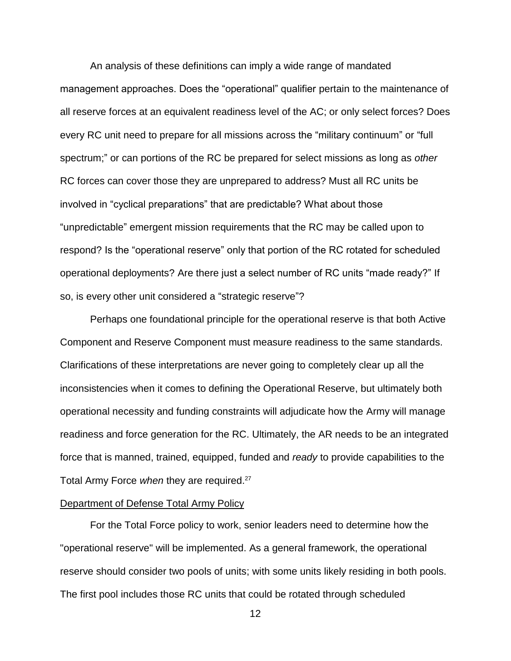An analysis of these definitions can imply a wide range of mandated management approaches. Does the "operational" qualifier pertain to the maintenance of all reserve forces at an equivalent readiness level of the AC; or only select forces? Does every RC unit need to prepare for all missions across the "military continuum" or "full spectrum;" or can portions of the RC be prepared for select missions as long as *other*  RC forces can cover those they are unprepared to address? Must all RC units be involved in "cyclical preparations" that are predictable? What about those "unpredictable" emergent mission requirements that the RC may be called upon to respond? Is the "operational reserve" only that portion of the RC rotated for scheduled operational deployments? Are there just a select number of RC units "made ready?" If so, is every other unit considered a "strategic reserve"?

Perhaps one foundational principle for the operational reserve is that both Active Component and Reserve Component must measure readiness to the same standards. Clarifications of these interpretations are never going to completely clear up all the inconsistencies when it comes to defining the Operational Reserve, but ultimately both operational necessity and funding constraints will adjudicate how the Army will manage readiness and force generation for the RC. Ultimately, the AR needs to be an integrated force that is manned, trained, equipped, funded and *ready* to provide capabilities to the Total Army Force *when* they are required. 27

# Department of Defense Total Army Policy

For the Total Force policy to work, senior leaders need to determine how the "operational reserve" will be implemented. As a general framework, the operational reserve should consider two pools of units; with some units likely residing in both pools. The first pool includes those RC units that could be rotated through scheduled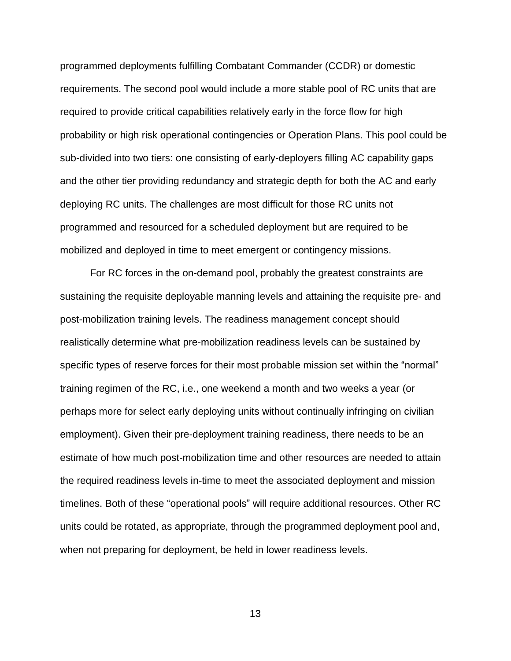programmed deployments fulfilling Combatant Commander (CCDR) or domestic requirements. The second pool would include a more stable pool of RC units that are required to provide critical capabilities relatively early in the force flow for high probability or high risk operational contingencies or Operation Plans. This pool could be sub-divided into two tiers: one consisting of early-deployers filling AC capability gaps and the other tier providing redundancy and strategic depth for both the AC and early deploying RC units. The challenges are most difficult for those RC units not programmed and resourced for a scheduled deployment but are required to be mobilized and deployed in time to meet emergent or contingency missions.

For RC forces in the on-demand pool, probably the greatest constraints are sustaining the requisite deployable manning levels and attaining the requisite pre- and post-mobilization training levels. The readiness management concept should realistically determine what pre-mobilization readiness levels can be sustained by specific types of reserve forces for their most probable mission set within the "normal" training regimen of the RC, i.e., one weekend a month and two weeks a year (or perhaps more for select early deploying units without continually infringing on civilian employment). Given their pre-deployment training readiness, there needs to be an estimate of how much post-mobilization time and other resources are needed to attain the required readiness levels in-time to meet the associated deployment and mission timelines. Both of these "operational pools" will require additional resources. Other RC units could be rotated, as appropriate, through the programmed deployment pool and, when not preparing for deployment, be held in lower readiness levels.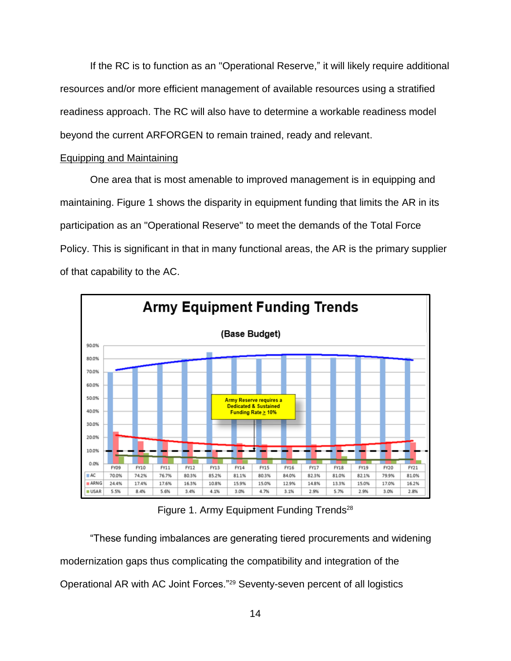If the RC is to function as an "Operational Reserve," it will likely require additional resources and/or more efficient management of available resources using a stratified readiness approach. The RC will also have to determine a workable readiness model beyond the current ARFORGEN to remain trained, ready and relevant.

# Equipping and Maintaining

One area that is most amenable to improved management is in equipping and maintaining. Figure 1 shows the disparity in equipment funding that limits the AR in its participation as an "Operational Reserve" to meet the demands of the Total Force Policy. This is significant in that in many functional areas, the AR is the primary supplier of that capability to the AC.



Figure 1. Army Equipment Funding Trends<sup>28</sup>

"These funding imbalances are generating tiered procurements and widening modernization gaps thus complicating the compatibility and integration of the Operational AR with AC Joint Forces."<sup>29</sup> Seventy-seven percent of all logistics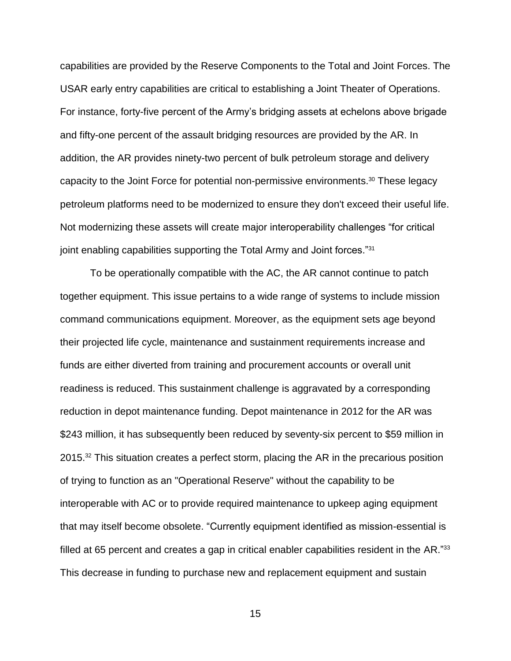capabilities are provided by the Reserve Components to the Total and Joint Forces. The USAR early entry capabilities are critical to establishing a Joint Theater of Operations. For instance, forty-five percent of the Army's bridging assets at echelons above brigade and fifty-one percent of the assault bridging resources are provided by the AR. In addition, the AR provides ninety-two percent of bulk petroleum storage and delivery capacity to the Joint Force for potential non-permissive environments. <sup>30</sup> These legacy petroleum platforms need to be modernized to ensure they don't exceed their useful life. Not modernizing these assets will create major interoperability challenges "for critical joint enabling capabilities supporting the Total Army and Joint forces."31

To be operationally compatible with the AC, the AR cannot continue to patch together equipment. This issue pertains to a wide range of systems to include mission command communications equipment. Moreover, as the equipment sets age beyond their projected life cycle, maintenance and sustainment requirements increase and funds are either diverted from training and procurement accounts or overall unit readiness is reduced. This sustainment challenge is aggravated by a corresponding reduction in depot maintenance funding. Depot maintenance in 2012 for the AR was \$243 million, it has subsequently been reduced by seventy-six percent to \$59 million in 2015.<sup>32</sup> This situation creates a perfect storm, placing the AR in the precarious position of trying to function as an "Operational Reserve" without the capability to be interoperable with AC or to provide required maintenance to upkeep aging equipment that may itself become obsolete. "Currently equipment identified as mission-essential is filled at 65 percent and creates a gap in critical enabler capabilities resident in the AR."33 This decrease in funding to purchase new and replacement equipment and sustain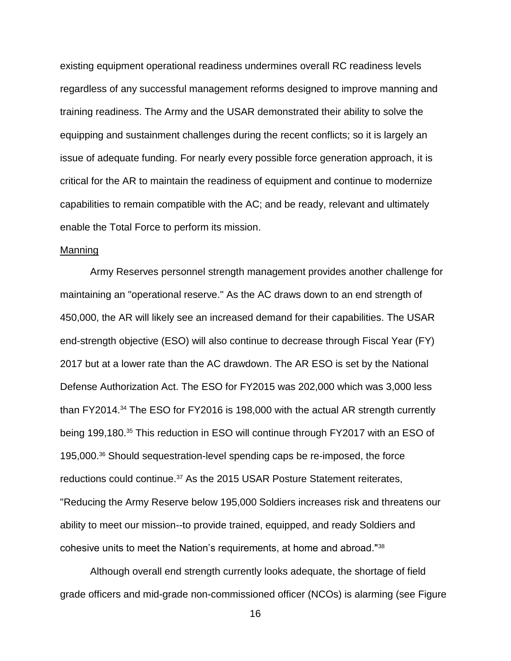existing equipment operational readiness undermines overall RC readiness levels regardless of any successful management reforms designed to improve manning and training readiness. The Army and the USAR demonstrated their ability to solve the equipping and sustainment challenges during the recent conflicts; so it is largely an issue of adequate funding. For nearly every possible force generation approach, it is critical for the AR to maintain the readiness of equipment and continue to modernize capabilities to remain compatible with the AC; and be ready, relevant and ultimately enable the Total Force to perform its mission.

# Manning

Army Reserves personnel strength management provides another challenge for maintaining an "operational reserve." As the AC draws down to an end strength of 450,000, the AR will likely see an increased demand for their capabilities. The USAR end-strength objective (ESO) will also continue to decrease through Fiscal Year (FY) 2017 but at a lower rate than the AC drawdown. The AR ESO is set by the National Defense Authorization Act. The ESO for FY2015 was 202,000 which was 3,000 less than FY2014.<sup>34</sup> The ESO for FY2016 is 198,000 with the actual AR strength currently being 199,180.<sup>35</sup> This reduction in ESO will continue through FY2017 with an ESO of 195,000.<sup>36</sup> Should sequestration-level spending caps be re-imposed, the force reductions could continue.<sup>37</sup> As the 2015 USAR Posture Statement reiterates, "Reducing the Army Reserve below 195,000 Soldiers increases risk and threatens our ability to meet our mission--to provide trained, equipped, and ready Soldiers and cohesive units to meet the Nation's requirements, at home and abroad."<sup>38</sup>

Although overall end strength currently looks adequate, the shortage of field grade officers and mid-grade non-commissioned officer (NCOs) is alarming (see Figure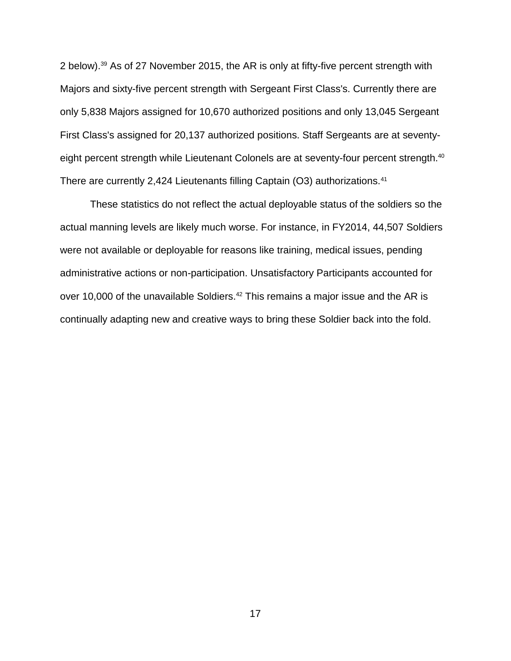2 below). <sup>39</sup> As of 27 November 2015, the AR is only at fifty-five percent strength with Majors and sixty-five percent strength with Sergeant First Class's. Currently there are only 5,838 Majors assigned for 10,670 authorized positions and only 13,045 Sergeant First Class's assigned for 20,137 authorized positions. Staff Sergeants are at seventyeight percent strength while Lieutenant Colonels are at seventy-four percent strength.<sup>40</sup> There are currently 2,424 Lieutenants filling Captain (O3) authorizations.<sup>41</sup>

These statistics do not reflect the actual deployable status of the soldiers so the actual manning levels are likely much worse. For instance, in FY2014, 44,507 Soldiers were not available or deployable for reasons like training, medical issues, pending administrative actions or non-participation. Unsatisfactory Participants accounted for over 10,000 of the unavailable Soldiers.<sup>42</sup> This remains a major issue and the AR is continually adapting new and creative ways to bring these Soldier back into the fold.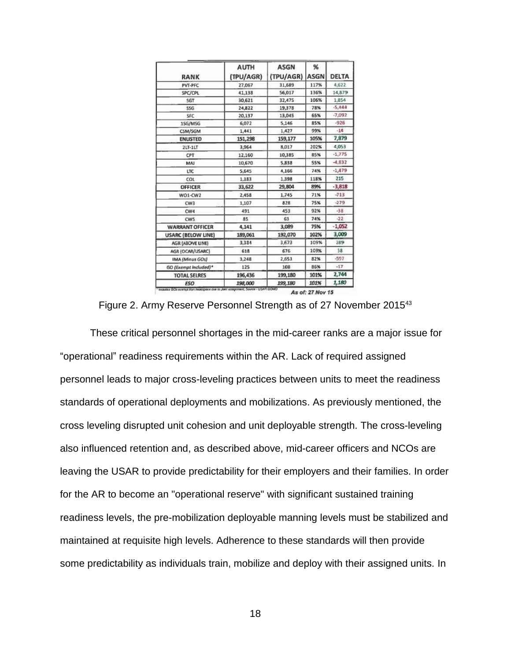| RANK                      | <b>AUTH</b><br>(TPU/AGR) | <b>ASGN</b><br>(TPU/AGR) | %<br><b>ASGN</b> | <b>DELTA</b> |
|---------------------------|--------------------------|--------------------------|------------------|--------------|
| PVT-PFC                   | 27,067                   | 31,689                   | 117%             | 4,622        |
| SPC/CPL                   | 41,138                   | 56,017                   | 136%             | 14,879       |
| SGT                       | 30,621                   | 32,475                   | 106%             | 1,854        |
| <b>55G</b>                | 24,822                   | 19,378                   | 78%              | $-5,444$     |
| SFC                       | 20,137                   | 13,045                   | 65%              | $-7,092$     |
| 15G/MSG                   | 6,072                    | 5,146                    | 85%              | $-926$       |
| CSM/SGM                   | 1,441                    | 1,427                    | 99%              | $-14$        |
| <b>ENLISTED</b>           | 151,298                  | 159,177                  | 105%             | 7,879        |
| $2LT-1LT$                 | 3,964                    | 8.017                    | 202%             | 4,053        |
| CPT                       | 12,160                   | 10,385                   | 85%              | $-1,775$     |
| MAI                       | 10,670                   | 5,838                    | 55%              | $-4,832$     |
| LTC                       | 5,645                    | 4,166                    | 74%              | $-1,479$     |
| COL                       | 1,183                    | 1,398                    | 118%             | 215          |
| <b>OFFICER</b>            | 33,622                   | 29,804                   | 89%              | $-3,818$     |
| WO1-CW2                   | 2,458                    | 1,745                    | 71%              | $-713$       |
| CW <sub>3</sub>           | 1,107                    | 828                      | 75%              | $-279$       |
| CW4                       | 491                      | 453                      | 92%              | $-38$        |
| CW <sub>5</sub>           | 85                       | 63                       | 74%              | $-22$        |
| <b>WARRANT OFFICER</b>    | 4,141                    | 3,089                    | 75%              | $-1,052$     |
| <b>USARC (BELOW LINE)</b> | 189,061                  | 192,070                  | 102%             | 3,009        |
| AGR (ABOVE LINE)          | 3,384                    | 3,673                    | 109%             | 289          |
| AGR (OCAR/USARC)          | 618                      | 676                      | 109%             | 58           |
| <b>IMA (Minus GOs)</b>    | 3,248                    | 2,651                    | 82%              | $-557$       |
| GO (Exempt Included)*     | 125                      | 108                      | 86%              | $-17$        |
| <b>TOTAL SELRES</b>       | 196,436                  | 199,180                  | 101%             | 2,744        |
| <b>FSO</b>                | 198,000                  | 199,180                  | 101%             | 1,180        |

Figure 2. Army Reserve Personnel Strength as of 27 November 2015<sup>43</sup>

These critical personnel shortages in the mid-career ranks are a major issue for "operational" readiness requirements within the AR. Lack of required assigned personnel leads to major cross-leveling practices between units to meet the readiness standards of operational deployments and mobilizations. As previously mentioned, the cross leveling disrupted unit cohesion and unit deployable strength. The cross-leveling also influenced retention and, as described above, mid-career officers and NCOs are leaving the USAR to provide predictability for their employers and their families. In order for the AR to become an "operational reserve" with significant sustained training readiness levels, the pre-mobilization deployable manning levels must be stabilized and maintained at requisite high levels. Adherence to these standards will then provide some predictability as individuals train, mobilize and deploy with their assigned units. In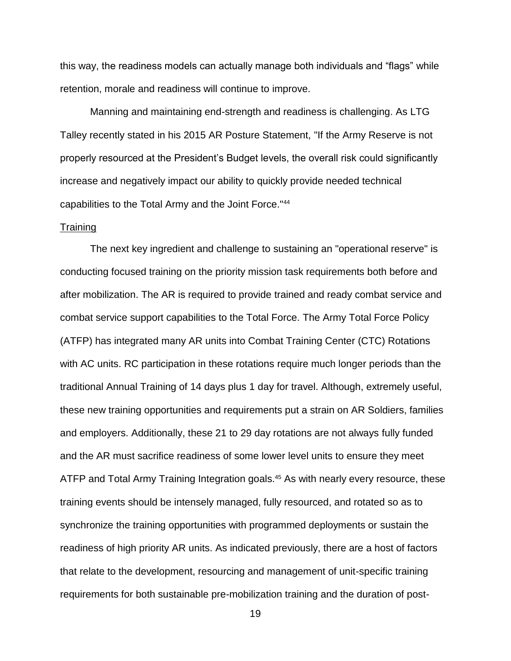this way, the readiness models can actually manage both individuals and "flags" while retention, morale and readiness will continue to improve.

Manning and maintaining end-strength and readiness is challenging. As LTG Talley recently stated in his 2015 AR Posture Statement, "If the Army Reserve is not properly resourced at the President's Budget levels, the overall risk could significantly increase and negatively impact our ability to quickly provide needed technical capabilities to the Total Army and the Joint Force."<sup>44</sup>

# **Training**

The next key ingredient and challenge to sustaining an "operational reserve" is conducting focused training on the priority mission task requirements both before and after mobilization. The AR is required to provide trained and ready combat service and combat service support capabilities to the Total Force. The Army Total Force Policy (ATFP) has integrated many AR units into Combat Training Center (CTC) Rotations with AC units. RC participation in these rotations require much longer periods than the traditional Annual Training of 14 days plus 1 day for travel. Although, extremely useful, these new training opportunities and requirements put a strain on AR Soldiers, families and employers. Additionally, these 21 to 29 day rotations are not always fully funded and the AR must sacrifice readiness of some lower level units to ensure they meet ATFP and Total Army Training Integration goals.<sup>45</sup> As with nearly every resource, these training events should be intensely managed, fully resourced, and rotated so as to synchronize the training opportunities with programmed deployments or sustain the readiness of high priority AR units. As indicated previously, there are a host of factors that relate to the development, resourcing and management of unit-specific training requirements for both sustainable pre-mobilization training and the duration of post-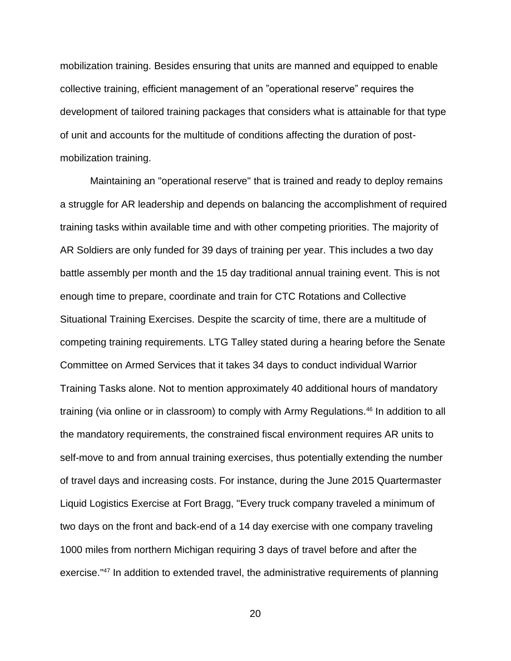mobilization training. Besides ensuring that units are manned and equipped to enable collective training, efficient management of an "operational reserve" requires the development of tailored training packages that considers what is attainable for that type of unit and accounts for the multitude of conditions affecting the duration of postmobilization training.

Maintaining an "operational reserve" that is trained and ready to deploy remains a struggle for AR leadership and depends on balancing the accomplishment of required training tasks within available time and with other competing priorities. The majority of AR Soldiers are only funded for 39 days of training per year. This includes a two day battle assembly per month and the 15 day traditional annual training event. This is not enough time to prepare, coordinate and train for CTC Rotations and Collective Situational Training Exercises. Despite the scarcity of time, there are a multitude of competing training requirements. LTG Talley stated during a hearing before the Senate Committee on Armed Services that it takes 34 days to conduct individual Warrior Training Tasks alone. Not to mention approximately 40 additional hours of mandatory training (via online or in classroom) to comply with Army Regulations.<sup>46</sup> In addition to all the mandatory requirements, the constrained fiscal environment requires AR units to self-move to and from annual training exercises, thus potentially extending the number of travel days and increasing costs. For instance, during the June 2015 Quartermaster Liquid Logistics Exercise at Fort Bragg, "Every truck company traveled a minimum of two days on the front and back-end of a 14 day exercise with one company traveling 1000 miles from northern Michigan requiring 3 days of travel before and after the exercise."<sup>47</sup> In addition to extended travel, the administrative requirements of planning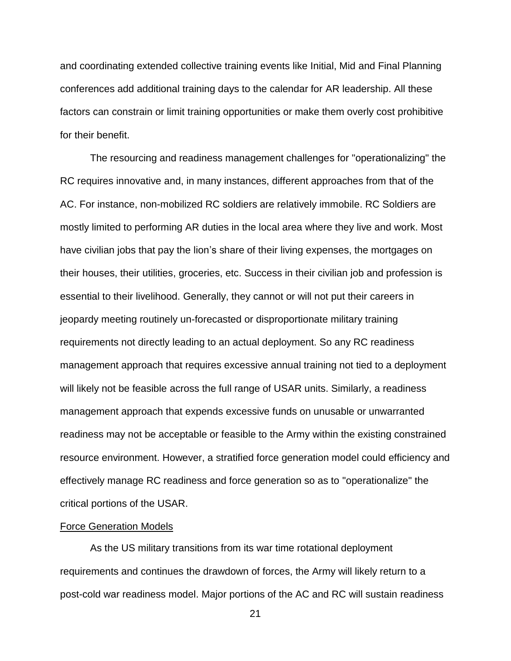and coordinating extended collective training events like Initial, Mid and Final Planning conferences add additional training days to the calendar for AR leadership. All these factors can constrain or limit training opportunities or make them overly cost prohibitive for their benefit.

The resourcing and readiness management challenges for "operationalizing" the RC requires innovative and, in many instances, different approaches from that of the AC. For instance, non-mobilized RC soldiers are relatively immobile. RC Soldiers are mostly limited to performing AR duties in the local area where they live and work. Most have civilian jobs that pay the lion's share of their living expenses, the mortgages on their houses, their utilities, groceries, etc. Success in their civilian job and profession is essential to their livelihood. Generally, they cannot or will not put their careers in jeopardy meeting routinely un-forecasted or disproportionate military training requirements not directly leading to an actual deployment. So any RC readiness management approach that requires excessive annual training not tied to a deployment will likely not be feasible across the full range of USAR units. Similarly, a readiness management approach that expends excessive funds on unusable or unwarranted readiness may not be acceptable or feasible to the Army within the existing constrained resource environment. However, a stratified force generation model could efficiency and effectively manage RC readiness and force generation so as to "operationalize" the critical portions of the USAR.

### Force Generation Models

As the US military transitions from its war time rotational deployment requirements and continues the drawdown of forces, the Army will likely return to a post-cold war readiness model. Major portions of the AC and RC will sustain readiness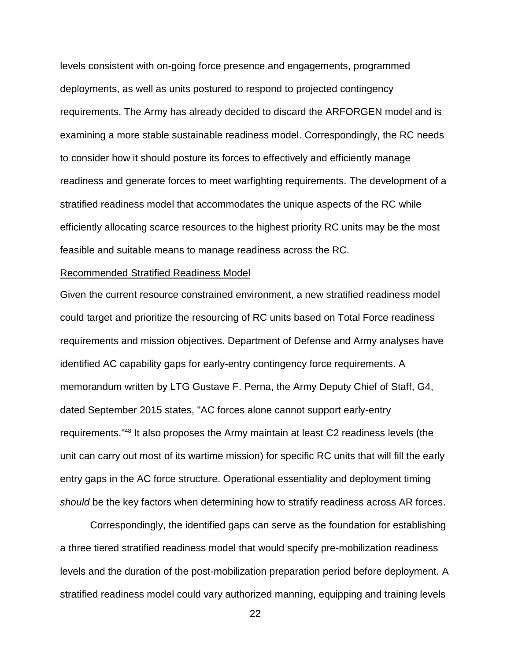levels consistent with on-going force presence and engagements, programmed deployments, as well as units postured to respond to projected contingency requirements. The Army has already decided to discard the ARFORGEN model and is examining a more stable sustainable readiness model. Correspondingly, the RC needs to consider how it should posture its forces to effectively and efficiently manage readiness and generate forces to meet warfighting requirements. The development of a stratified readiness model that accommodates the unique aspects of the RC while efficiently allocating scarce resources to the highest priority RC units may be the most feasible and suitable means to manage readiness across the RC.

### Recommended Stratified Readiness Model

Given the current resource constrained environment, a new stratified readiness model could target and prioritize the resourcing of RC units based on Total Force readiness requirements and mission objectives. Department of Defense and Army analyses have identified AC capability gaps for early-entry contingency force requirements. A memorandum written by LTG Gustave F. Perna, the Army Deputy Chief of Staff, G4, dated September 2015 states, "AC forces alone cannot support early-entry requirements." <sup>48</sup> It also proposes the Army maintain at least C2 readiness levels (the unit can carry out most of its wartime mission) for specific RC units that will fill the early entry gaps in the AC force structure. Operational essentiality and deployment timing *should* be the key factors when determining how to stratify readiness across AR forces.

Correspondingly, the identified gaps can serve as the foundation for establishing a three tiered stratified readiness model that would specify pre-mobilization readiness levels and the duration of the post-mobilization preparation period before deployment. A stratified readiness model could vary authorized manning, equipping and training levels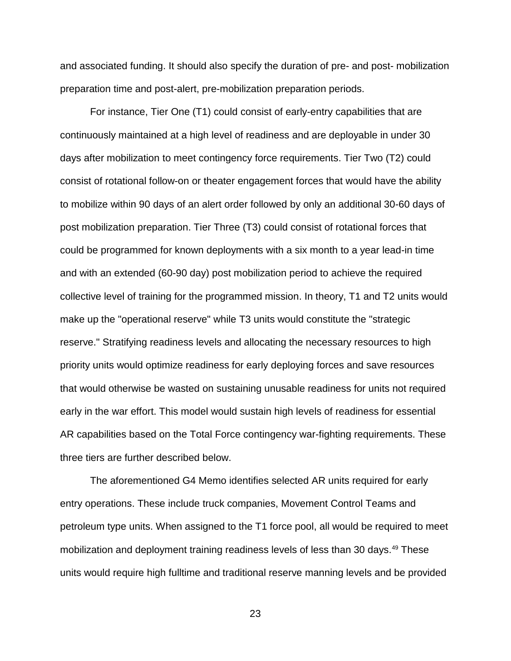and associated funding. It should also specify the duration of pre- and post- mobilization preparation time and post-alert, pre-mobilization preparation periods.

For instance, Tier One (T1) could consist of early-entry capabilities that are continuously maintained at a high level of readiness and are deployable in under 30 days after mobilization to meet contingency force requirements. Tier Two (T2) could consist of rotational follow-on or theater engagement forces that would have the ability to mobilize within 90 days of an alert order followed by only an additional 30-60 days of post mobilization preparation. Tier Three (T3) could consist of rotational forces that could be programmed for known deployments with a six month to a year lead-in time and with an extended (60-90 day) post mobilization period to achieve the required collective level of training for the programmed mission. In theory, T1 and T2 units would make up the "operational reserve" while T3 units would constitute the "strategic reserve." Stratifying readiness levels and allocating the necessary resources to high priority units would optimize readiness for early deploying forces and save resources that would otherwise be wasted on sustaining unusable readiness for units not required early in the war effort. This model would sustain high levels of readiness for essential AR capabilities based on the Total Force contingency war-fighting requirements. These three tiers are further described below.

The aforementioned G4 Memo identifies selected AR units required for early entry operations. These include truck companies, Movement Control Teams and petroleum type units. When assigned to the T1 force pool, all would be required to meet mobilization and deployment training readiness levels of less than 30 days.<sup>49</sup> These units would require high fulltime and traditional reserve manning levels and be provided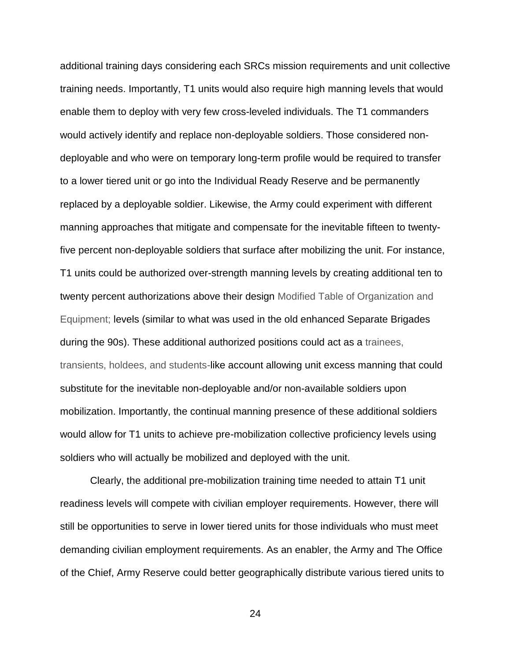additional training days considering each SRCs mission requirements and unit collective training needs. Importantly, T1 units would also require high manning levels that would enable them to deploy with very few cross-leveled individuals. The T1 commanders would actively identify and replace non-deployable soldiers. Those considered nondeployable and who were on temporary long-term profile would be required to transfer to a lower tiered unit or go into the Individual Ready Reserve and be permanently replaced by a deployable soldier. Likewise, the Army could experiment with different manning approaches that mitigate and compensate for the inevitable fifteen to twentyfive percent non-deployable soldiers that surface after mobilizing the unit. For instance, T1 units could be authorized over-strength manning levels by creating additional ten to twenty percent authorizations above their design Modified Table of Organization and Equipment; levels (similar to what was used in the old enhanced Separate Brigades during the 90s). These additional authorized positions could act as a trainees, transients, holdees, and students-like account allowing unit excess manning that could substitute for the inevitable non-deployable and/or non-available soldiers upon mobilization. Importantly, the continual manning presence of these additional soldiers would allow for T1 units to achieve pre-mobilization collective proficiency levels using soldiers who will actually be mobilized and deployed with the unit.

Clearly, the additional pre-mobilization training time needed to attain T1 unit readiness levels will compete with civilian employer requirements. However, there will still be opportunities to serve in lower tiered units for those individuals who must meet demanding civilian employment requirements. As an enabler, the Army and The Office of the Chief, Army Reserve could better geographically distribute various tiered units to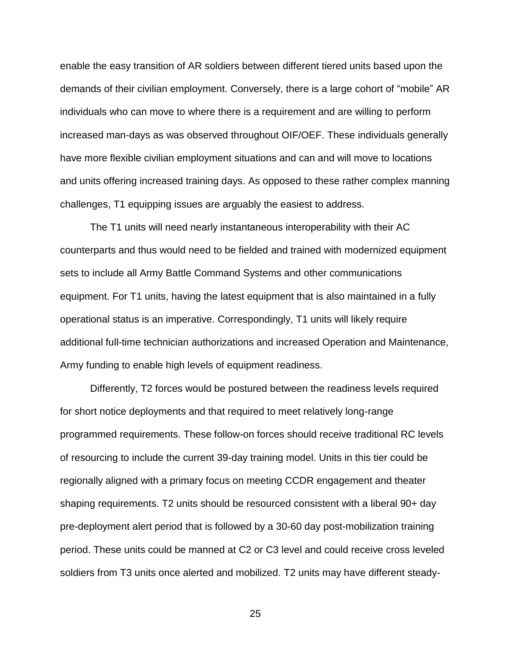enable the easy transition of AR soldiers between different tiered units based upon the demands of their civilian employment. Conversely, there is a large cohort of "mobile" AR individuals who can move to where there is a requirement and are willing to perform increased man-days as was observed throughout OIF/OEF. These individuals generally have more flexible civilian employment situations and can and will move to locations and units offering increased training days. As opposed to these rather complex manning challenges, T1 equipping issues are arguably the easiest to address.

The T1 units will need nearly instantaneous interoperability with their AC counterparts and thus would need to be fielded and trained with modernized equipment sets to include all Army Battle Command Systems and other communications equipment. For T1 units, having the latest equipment that is also maintained in a fully operational status is an imperative. Correspondingly, T1 units will likely require additional full-time technician authorizations and increased Operation and Maintenance, Army funding to enable high levels of equipment readiness.

Differently, T2 forces would be postured between the readiness levels required for short notice deployments and that required to meet relatively long-range programmed requirements. These follow-on forces should receive traditional RC levels of resourcing to include the current 39-day training model. Units in this tier could be regionally aligned with a primary focus on meeting CCDR engagement and theater shaping requirements. T2 units should be resourced consistent with a liberal 90+ day pre-deployment alert period that is followed by a 30-60 day post-mobilization training period. These units could be manned at C2 or C3 level and could receive cross leveled soldiers from T3 units once alerted and mobilized. T2 units may have different steady-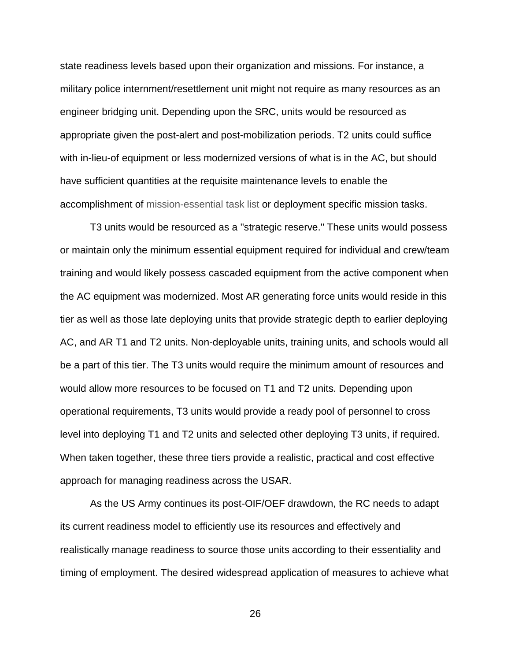state readiness levels based upon their organization and missions. For instance, a military police internment/resettlement unit might not require as many resources as an engineer bridging unit. Depending upon the SRC, units would be resourced as appropriate given the post-alert and post-mobilization periods. T2 units could suffice with in-lieu-of equipment or less modernized versions of what is in the AC, but should have sufficient quantities at the requisite maintenance levels to enable the accomplishment of mission-essential task list or deployment specific mission tasks.

T3 units would be resourced as a "strategic reserve." These units would possess or maintain only the minimum essential equipment required for individual and crew/team training and would likely possess cascaded equipment from the active component when the AC equipment was modernized. Most AR generating force units would reside in this tier as well as those late deploying units that provide strategic depth to earlier deploying AC, and AR T1 and T2 units. Non-deployable units, training units, and schools would all be a part of this tier. The T3 units would require the minimum amount of resources and would allow more resources to be focused on T1 and T2 units. Depending upon operational requirements, T3 units would provide a ready pool of personnel to cross level into deploying T1 and T2 units and selected other deploying T3 units, if required. When taken together, these three tiers provide a realistic, practical and cost effective approach for managing readiness across the USAR.

As the US Army continues its post-OIF/OEF drawdown, the RC needs to adapt its current readiness model to efficiently use its resources and effectively and realistically manage readiness to source those units according to their essentiality and timing of employment. The desired widespread application of measures to achieve what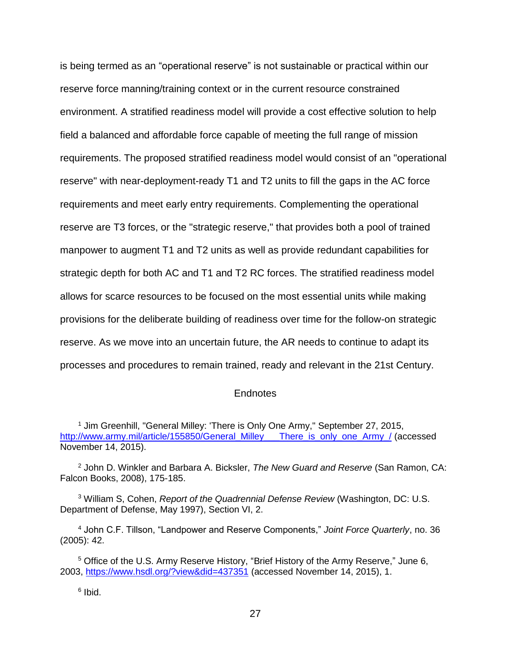is being termed as an "operational reserve" is not sustainable or practical within our reserve force manning/training context or in the current resource constrained environment. A stratified readiness model will provide a cost effective solution to help field a balanced and affordable force capable of meeting the full range of mission requirements. The proposed stratified readiness model would consist of an "operational reserve" with near-deployment-ready T1 and T2 units to fill the gaps in the AC force requirements and meet early entry requirements. Complementing the operational reserve are T3 forces, or the "strategic reserve," that provides both a pool of trained manpower to augment T1 and T2 units as well as provide redundant capabilities for strategic depth for both AC and T1 and T2 RC forces. The stratified readiness model allows for scarce resources to be focused on the most essential units while making provisions for the deliberate building of readiness over time for the follow-on strategic reserve. As we move into an uncertain future, the AR needs to continue to adapt its processes and procedures to remain trained, ready and relevant in the 21st Century.

### **Endnotes**

<sup>1</sup> Jim Greenhill, "General Milley: 'There is Only One Army," September 27, 2015, [http://www.army.mil/article/155850/General\\_Milley\\_\\_\\_There\\_is\\_only\\_one\\_Army\\_/](http://www.army.mil/article/155850/General_Milley___There_is_only_one_Army_/) (accessed November 14, 2015).

<sup>2</sup> John D. Winkler and Barbara A. Bicksler, *The New Guard and Reserve* (San Ramon, CA: Falcon Books, 2008), 175-185.

<sup>3</sup> William S, Cohen, *Report of the Quadrennial Defense Review* (Washington, DC: U.S. Department of Defense, May 1997), Section VI, 2.

<sup>4</sup> John C.F. Tillson, "Landpower and Reserve Components," *Joint Force Quarterly*, no. 36 (2005): 42.

<sup>5</sup> Office of the U.S. Army Reserve History, "Brief History of the Army Reserve," June 6, 2003,<https://www.hsdl.org/?view&did=437351> (accessed November 14, 2015), 1.

<sup>6</sup> Ibid.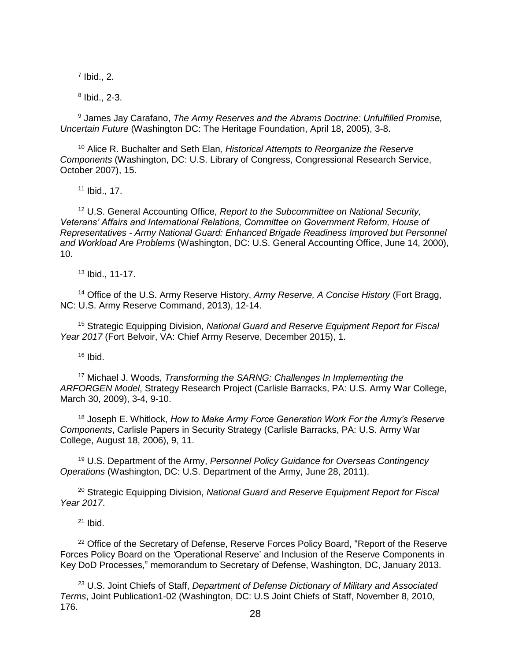$<sup>7</sup>$  Ibid., 2.</sup>

8 Ibid., 2-3.

<sup>9</sup> James Jay Carafano, *The Army Reserves and the Abrams Doctrine: Unfulfilled Promise, Uncertain Future* (Washington DC: The Heritage Foundation, April 18, 2005), 3-8.

<sup>10</sup> Alice R. Buchalter and Seth Elan*, Historical Attempts to Reorganize the Reserve Components* (Washington, DC: U.S. Library of Congress, Congressional Research Service, October 2007), 15.

<sup>11</sup> Ibid., 17.

<sup>12</sup> U.S. General Accounting Office, *Report to the Subcommittee on National Security, Veterans' Affairs and International Relations, Committee on Government Reform, House of Representatives - Army National Guard: Enhanced Brigade Readiness Improved but Personnel and Workload Are Problems* (Washington, DC: U.S. General Accounting Office, June 14, 2000), 10.

<sup>13</sup> Ibid., 11-17.

<sup>14</sup> Office of the U.S. Army Reserve History, *Army Reserve, A Concise History* (Fort Bragg, NC: U.S. Army Reserve Command, 2013), 12-14.

<sup>15</sup> Strategic Equipping Division, *National Guard and Reserve Equipment Report for Fiscal Year 2017* (Fort Belvoir, VA: Chief Army Reserve, December 2015), 1.

 $16$  Ibid.

<sup>17</sup> Michael J. Woods, *Transforming the SARNG: Challenges In Implementing the ARFORGEN Model*, Strategy Research Project (Carlisle Barracks, PA: U.S. Army War College, March 30, 2009), 3-4, 9-10.

<sup>18</sup> Joseph E. Whitlock, *How to Make Army Force Generation Work For the Army's Reserve Components*, Carlisle Papers in Security Strategy (Carlisle Barracks, PA: U.S. Army War College, August 18, 2006), 9, 11.

<sup>19</sup> U.S. Department of the Army, *Personnel Policy Guidance for Overseas Contingency Operations* (Washington, DC: U.S. Department of the Army, June 28, 2011).

<sup>20</sup> Strategic Equipping Division, *National Guard and Reserve Equipment Report for Fiscal Year 2017*.

 $21$  Ihid.

<sup>22</sup> Office of the Secretary of Defense, Reserve Forces Policy Board, "Report of the Reserve Forces Policy Board on the *'*Operational Reserve' and Inclusion of the Reserve Components in Key DoD Processes," memorandum to Secretary of Defense, Washington, DC, January 2013.

<sup>23</sup> U.S. Joint Chiefs of Staff, *Department of Defense Dictionary of Military and Associated Terms*, Joint Publication1-02 (Washington, DC: U.S Joint Chiefs of Staff, November 8, 2010, 176.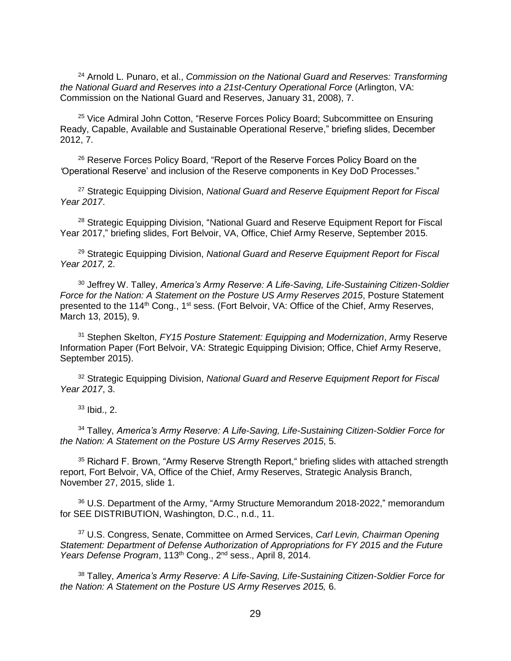<sup>24</sup> Arnold L. Punaro, et al., *Commission on the National Guard and Reserves: Transforming the National Guard and Reserves into a 21st-Century Operational Force* (Arlington, VA: Commission on the National Guard and Reserves, January 31, 2008), 7.

<sup>25</sup> Vice Admiral John Cotton, "Reserve Forces Policy Board; Subcommittee on Ensuring Ready, Capable, Available and Sustainable Operational Reserve," briefing slides, December 2012, 7.

<sup>26</sup> Reserve Forces Policy Board, "Report of the Reserve Forces Policy Board on the *'*Operational Reserve' and inclusion of the Reserve components in Key DoD Processes."

<sup>27</sup> Strategic Equipping Division, *National Guard and Reserve Equipment Report for Fiscal Year 2017*.

<sup>28</sup> Strategic Equipping Division, "National Guard and Reserve Equipment Report for Fiscal Year 2017," briefing slides, Fort Belvoir, VA, Office, Chief Army Reserve, September 2015.

<sup>29</sup> Strategic Equipping Division, *National Guard and Reserve Equipment Report for Fiscal Year 2017,* 2.

<sup>30</sup> Jeffrey W. Talley, *America's Army Reserve: A Life-Saving, Life-Sustaining Citizen-Soldier Force for the Nation: A Statement on the Posture US Army Reserves 2015*, Posture Statement presented to the 114<sup>th</sup> Cong., 1<sup>st</sup> sess. (Fort Belvoir, VA: Office of the Chief, Army Reserves, March 13, 2015), 9.

<sup>31</sup> Stephen Skelton, *FY15 Posture Statement: Equipping and Modernization*, Army Reserve Information Paper (Fort Belvoir, VA: Strategic Equipping Division; Office, Chief Army Reserve, September 2015).

<sup>32</sup> Strategic Equipping Division, *National Guard and Reserve Equipment Report for Fiscal Year 2017*, 3.

 $33$  Ibid., 2.

<sup>34</sup> Talley, *America's Army Reserve: A Life-Saving, Life-Sustaining Citizen-Soldier Force for the Nation: A Statement on the Posture US Army Reserves 2015*, 5.

<sup>35</sup> Richard F. Brown, "Army Reserve Strength Report," briefing slides with attached strength report, Fort Belvoir, VA, Office of the Chief, Army Reserves, Strategic Analysis Branch, November 27, 2015, slide 1.

<sup>36</sup> U.S. Department of the Army, "Army Structure Memorandum 2018-2022," memorandum for SEE DISTRIBUTION, Washington, D.C., n.d., 11.

<sup>37</sup> U.S. Congress, Senate, Committee on Armed Services, *Carl Levin, Chairman Opening Statement: Department of Defense Authorization of Appropriations for FY 2015 and the Future Years Defense Program*, 113th Cong., 2nd sess., April 8, 2014.

<sup>38</sup> Talley, *America's Army Reserve: A Life-Saving, Life-Sustaining Citizen-Soldier Force for the Nation: A Statement on the Posture US Army Reserves 2015,* 6.